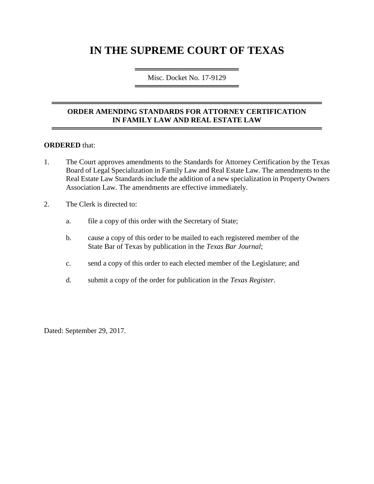# **IN THE SUPREME COURT OF TEXAS**

════════════════════════════════════ Misc. Docket No. 17-9129 ═════════════════════════════════════

### **ORDER AMENDING STANDARDS FOR ATTORNEY CERTIFICATION IN FAMILY LAW AND REAL ESTATE LAW**

════════════════════════════════════════════════════

════════════════════════════════════════════════════

#### **ORDERED** that:

- 1. The Court approves amendments to the Standards for Attorney Certification by the Texas Board of Legal Specialization in Family Law and Real Estate Law. The amendments to the Real Estate Law Standards include the addition of a new specialization in Property Owners Association Law. The amendments are effective immediately.
- 2. The Clerk is directed to:
	- a. file a copy of this order with the Secretary of State;
	- b. cause a copy of this order to be mailed to each registered member of the State Bar of Texas by publication in the *Texas Bar Journal*;
	- c. send a copy of this order to each elected member of the Legislature; and
	- d. submit a copy of the order for publication in the *Texas Register*.

Dated: September 29, 2017.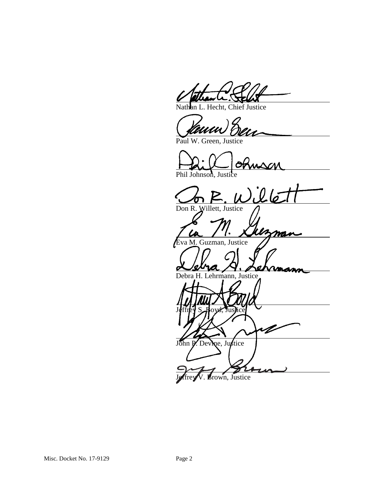Nathan L. Hecht, Chief Justice

Paul W. Green, Justice

Phil Johnson, Justice

 $26$ Don R. Willett, Justice <u>Man</u> P Eva M. Guzman, Justice Debra H. Lehrmann, Justice Jeffrey S. Hoyd, Justice V

John P. Devine, Justice

Brown, Justice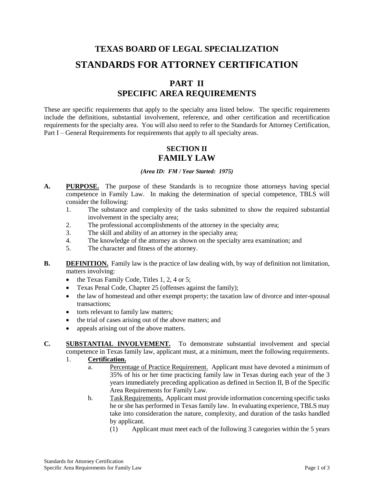# **TEXAS BOARD OF LEGAL SPECIALIZATION STANDARDS FOR ATTORNEY CERTIFICATION**

## **PART II SPECIFIC AREA REQUIREMENTS**

These are specific requirements that apply to the specialty area listed below. The specific requirements include the definitions, substantial involvement, reference, and other certification and recertification requirements for the specialty area. You will also need to refer to the Standards for Attorney Certification, Part I – General Requirements for requirements that apply to all specialty areas.

### **SECTION II FAMILY LAW**

*(Area ID: FM / Year Started: 1975)*

- **A. PURPOSE.** The purpose of these Standards is to recognize those attorneys having special competence in Family Law. In making the determination of special competence, TBLS will consider the following:
	- 1. The substance and complexity of the tasks submitted to show the required substantial involvement in the specialty area;
	- 2. The professional accomplishments of the attorney in the specialty area;
	- 3. The skill and ability of an attorney in the specialty area;
	- 4. The knowledge of the attorney as shown on the specialty area examination; and
	- 5. The character and fitness of the attorney.
- **B. DEFINITION.** Family law is the practice of law dealing with, by way of definition not limitation, matters involving:
	- the Texas Family Code, Titles 1, 2, 4 or 5;
	- Texas Penal Code, Chapter 25 (offenses against the family);
	- the law of homestead and other exempt property; the taxation law of divorce and inter-spousal transactions;
	- torts relevant to family law matters;
	- the trial of cases arising out of the above matters; and
	- appeals arising out of the above matters.

#### **C. SUBSTANTIAL INVOLVEMENT.** To demonstrate substantial involvement and special competence in Texas family law, applicant must, at a minimum, meet the following requirements.

#### 1. **Certification.**

- a. Percentage of Practice Requirement. Applicant must have devoted a minimum of 35% of his or her time practicing family law in Texas during each year of the 3 years immediately preceding application as defined in Section II, B of the Specific Area Requirements for Family Law.
- b. Task Requirements. Applicant must provide information concerning specific tasks he or she has performed in Texas family law. In evaluating experience, TBLS may take into consideration the nature, complexity, and duration of the tasks handled by applicant.
	- (1) Applicant must meet each of the following 3 categories within the 5 years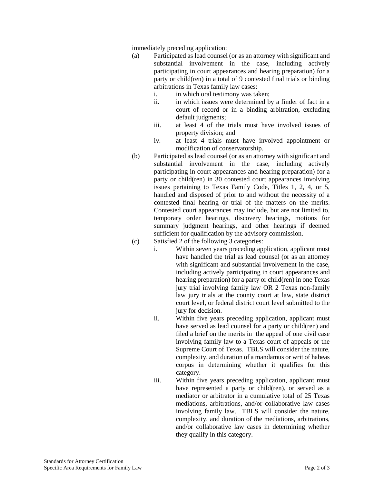immediately preceding application:

- (a) Participated as lead counsel (or as an attorney with significant and substantial involvement in the case, including actively participating in court appearances and hearing preparation) for a party or child(ren) in a total of 9 contested final trials or binding arbitrations in Texas family law cases:
	- i. in which oral testimony was taken;
	- ii. in which issues were determined by a finder of fact in a court of record or in a binding arbitration, excluding default judgments;
	- iii. at least 4 of the trials must have involved issues of property division; and
	- iv. at least 4 trials must have involved appointment or modification of conservatorship.
- (b) Participated as lead counsel (or as an attorney with significant and substantial involvement in the case, including actively participating in court appearances and hearing preparation) for a party or child(ren) in 30 contested court appearances involving issues pertaining to Texas Family Code, Titles 1, 2, 4, or 5, handled and disposed of prior to and without the necessity of a contested final hearing or trial of the matters on the merits. Contested court appearances may include, but are not limited to, temporary order hearings, discovery hearings, motions for summary judgment hearings, and other hearings if deemed sufficient for qualification by the advisory commission.
- (c) Satisfied 2 of the following 3 categories:
	- i. Within seven years preceding application, applicant must have handled the trial as lead counsel (or as an attorney with significant and substantial involvement in the case, including actively participating in court appearances and hearing preparation) for a party or child(ren) in one Texas jury trial involving family law OR 2 Texas non-family law jury trials at the county court at law, state district court level, or federal district court level submitted to the jury for decision.
	- ii. Within five years preceding application, applicant must have served as lead counsel for a party or child(ren) and filed a brief on the merits in the appeal of one civil case involving family law to a Texas court of appeals or the Supreme Court of Texas. TBLS will consider the nature, complexity, and duration of a mandamus or writ of habeas corpus in determining whether it qualifies for this category.
	- iii. Within five years preceding application, applicant must have represented a party or child(ren), or served as a mediator or arbitrator in a cumulative total of 25 Texas mediations, arbitrations, and/or collaborative law cases involving family law. TBLS will consider the nature, complexity, and duration of the mediations, arbitrations, and/or collaborative law cases in determining whether they qualify in this category.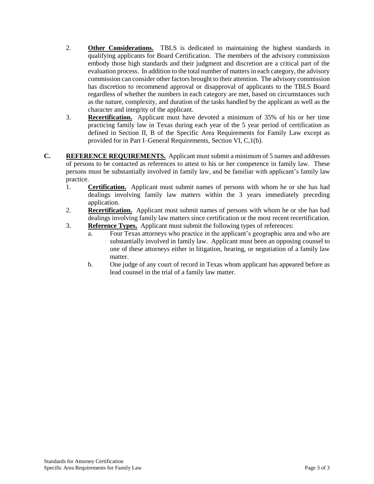- 2. **Other Considerations.** TBLS is dedicated to maintaining the highest standards in qualifying applicants for Board Certification. The members of the advisory commission embody those high standards and their judgment and discretion are a critical part of the evaluation process. In addition to the total number of matters in each category, the advisory commission can consider other factors brought to their attention. The advisory commission has discretion to recommend approval or disapproval of applicants to the TBLS Board regardless of whether the numbers in each category are met, based on circumstances such as the nature, complexity, and duration of the tasks handled by the applicant as well as the character and integrity of the applicant.
- 3. **Recertification.** Applicant must have devoted a minimum of 35% of his or her time practicing family law in Texas during each year of the 5 year period of certification as defined in Section II, B of the Specific Area Requirements for Family Law except as provided for in Part I–General Requirements, Section VI, C,1(b).
- **C. REFERENCE REQUIREMENTS.** Applicant must submit a minimum of 5 names and addresses of persons to be contacted as references to attest to his or her competence in family law.These persons must be substantially involved in family law, and be familiar with applicant's family law practice.
	- 1. **Certification.** Applicant must submit names of persons with whom he or she has had dealings involving family law matters within the 3 years immediately preceding application.
	- 2. **Recertification.** Applicant must submit names of persons with whom he or she has had dealings involving family law matters since certification or the most recent recertification.
	- 3. **Reference Types.** Applicant must submit the following types of references:
		- a. Four Texas attorneys who practice in the applicant's geographic area and who are substantially involved in family law. Applicant must been an opposing counsel to one of these attorneys either in litigation, hearing, or negotiation of a family law matter.
		- b. One judge of any court of record in Texas whom applicant has appeared before as lead counsel in the trial of a family law matter.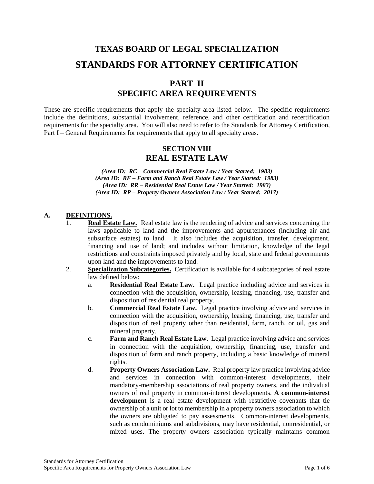# **TEXAS BOARD OF LEGAL SPECIALIZATION STANDARDS FOR ATTORNEY CERTIFICATION**

## **PART II SPECIFIC AREA REQUIREMENTS**

These are specific requirements that apply the specialty area listed below. The specific requirements include the definitions, substantial involvement, reference, and other certification and recertification requirements for the specialty area. You will also need to refer to the Standards for Attorney Certification, Part I – General Requirements for requirements that apply to all specialty areas.

### **SECTION VIII REAL ESTATE LAW**

*(Area ID: RC – Commercial Real Estate Law / Year Started: 1983) (Area ID: RF – Farm and Ranch Real Estate Law / Year Started: 1983) (Area ID: RR – Residential Real Estate Law / Year Started: 1983) (Area ID: RP – Property Owners Association Law / Year Started: 2017)*

#### **A. DEFINITIONS.**

- **Real Estate Law.** Real estate law is the rendering of advice and services concerning the laws applicable to land and the improvements and appurtenances (including air and subsurface estates) to land. It also includes the acquisition, transfer, development, financing and use of land; and includes without limitation, knowledge of the legal restrictions and constraints imposed privately and by local, state and federal governments upon land and the improvements to land.
- 2. **Specialization Subcategories.** Certification is available for 4 subcategories of real estate law defined below:
	- a. **Residential Real Estate Law.** Legal practice including advice and services in connection with the acquisition, ownership, leasing, financing, use, transfer and disposition of residential real property.
	- b. **Commercial Real Estate Law.** Legal practice involving advice and services in connection with the acquisition, ownership, leasing, financing, use, transfer and disposition of real property other than residential, farm, ranch, or oil, gas and mineral property.
	- c. **Farm and Ranch Real Estate Law.** Legal practice involving advice and services in connection with the acquisition, ownership, financing, use, transfer and disposition of farm and ranch property, including a basic knowledge of mineral rights.
	- d. **Property Owners Association Law.** Real property law practice involving advice and services in connection with common-interest developments, their mandatory-membership associations of real property owners, and the individual owners of real property in common-interest developments. **A common-interest development** is a real estate development with restrictive covenants that tie ownership of a unit or lot to membership in a property owners association to which the owners are obligated to pay assessments. Common-interest developments, such as condominiums and subdivisions, may have residential, nonresidential, or mixed uses. The property owners association typically maintains common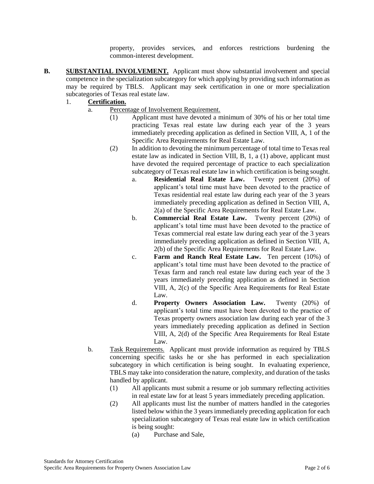property, provides services, and enforces restrictions burdening the common-interest development.

- **B. SUBSTANTIAL INVOLVEMENT.** Applicant must show substantial involvement and special competence in the specialization subcategory for which applying by providing such information as may be required by TBLS. Applicant may seek certification in one or more specialization subcategories of Texas real estate law.
	- 1. **Certification.**
		- a. Percentage of Involvement Requirement.
			- (1) Applicant must have devoted a minimum of 30% of his or her total time practicing Texas real estate law during each year of the 3 years immediately preceding application as defined in Section VIII, A, 1 of the Specific Area Requirements for Real Estate Law.
			- (2) In addition to devoting the minimum percentage of total time to Texas real estate law as indicated in Section VIII, B, 1, a (1) above, applicant must have devoted the required percentage of practice to each specialization subcategory of Texas real estate law in which certification is being sought.
				- a. **Residential Real Estate Law.** Twenty percent (20%) of applicant's total time must have been devoted to the practice of Texas residential real estate law during each year of the 3 years immediately preceding application as defined in Section VIII, A, 2(a) of the Specific Area Requirements for Real Estate Law.
				- b. **Commercial Real Estate Law.** Twenty percent (20%) of applicant's total time must have been devoted to the practice of Texas commercial real estate law during each year of the 3 years immediately preceding application as defined in Section VIII, A, 2(b) of the Specific Area Requirements for Real Estate Law.
				- c. **Farm and Ranch Real Estate Law.** Ten percent (10%) of applicant's total time must have been devoted to the practice of Texas farm and ranch real estate law during each year of the 3 years immediately preceding application as defined in Section VIII, A, 2(c) of the Specific Area Requirements for Real Estate Law.
				- d. **Property Owners Association Law.** Twenty (20%) of applicant's total time must have been devoted to the practice of Texas property owners association law during each year of the 3 years immediately preceding application as defined in Section VIII, A, 2(d) of the Specific Area Requirements for Real Estate Law.
			- b. Task Requirements. Applicant must provide information as required by TBLS concerning specific tasks he or she has performed in each specialization subcategory in which certification is being sought. In evaluating experience, TBLS may take into consideration the nature, complexity, and duration of the tasks handled by applicant.
				- (1) All applicants must submit a resume or job summary reflecting activities in real estate law for at least 5 years immediately preceding application.
				- (2) All applicants must list the number of matters handled in the categories listed below within the 3 years immediately preceding application for each specialization subcategory of Texas real estate law in which certification is being sought:
					- (a) Purchase and Sale,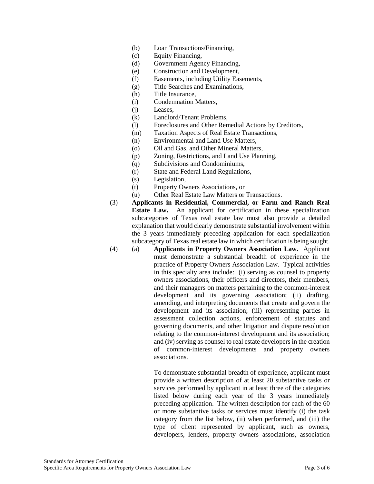- (b) Loan Transactions/Financing,
- (c) Equity Financing,
- (d) Government Agency Financing,
- (e) Construction and Development,
- (f) Easements, including Utility Easements,
- (g) Title Searches and Examinations,
- (h) Title Insurance,
- (i) Condemnation Matters,
- (j) Leases,
- (k) Landlord/Tenant Problems,
- (l) Foreclosures and Other Remedial Actions by Creditors,
- (m) Taxation Aspects of Real Estate Transactions,
- (n) Environmental and Land Use Matters,
- (o) Oil and Gas, and Other Mineral Matters,
- (p) Zoning, Restrictions, and Land Use Planning,
- (q) Subdivisions and Condominiums,
- (r) State and Federal Land Regulations,
- (s) Legislation,
- (t) Property Owners Associations, or
- (u) Other Real Estate Law Matters or Transactions.
- (3) **Applicants in Residential, Commercial, or Farm and Ranch Real Estate Law.** An applicant for certification in these specialization subcategories of Texas real estate law must also provide a detailed explanation that would clearly demonstrate substantial involvement within the 3 years immediately preceding application for each specialization subcategory of Texas real estate law in which certification is being sought.
- (4) (a) **Applicants in Property Owners Association Law.** Applicant must demonstrate a substantial breadth of experience in the practice of Property Owners Association Law. Typical activities in this specialty area include: (i) serving as counsel to property owners associations, their officers and directors, their members, and their managers on matters pertaining to the common-interest development and its governing association; (ii) drafting, amending, and interpreting documents that create and govern the development and its association; (iii) representing parties in assessment collection actions, enforcement of statutes and governing documents, and other litigation and dispute resolution relating to the common-interest development and its association; and (iv) serving as counsel to real estate developers in the creation of common-interest developments and property owners associations.

To demonstrate substantial breadth of experience, applicant must provide a written description of at least 20 substantive tasks or services performed by applicant in at least three of the categories listed below during each year of the 3 years immediately preceding application. The written description for each of the 60 or more substantive tasks or services must identify (i) the task category from the list below, (ii) when performed, and (iii) the type of client represented by applicant, such as owners, developers, lenders, property owners associations, association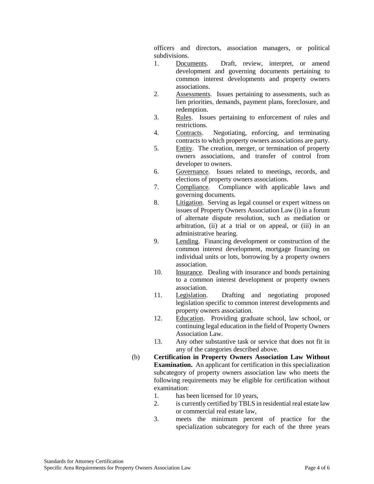officers and directors, association managers, or political subdivisions.

- 1. Documents. Draft, review, interpret, or amend development and governing documents pertaining to common interest developments and property owners associations.
- 2. Assessments. Issues pertaining to assessments, such as lien priorities, demands, payment plans, foreclosure, and redemption.
- 3. Rules. Issues pertaining to enforcement of rules and restrictions.
- 4. Contracts. Negotiating, enforcing, and terminating contracts to which property owners associations are party.
- 5. Entity. The creation, merger, or termination of property owners associations, and transfer of control from developer to owners.
- 6. Governance. Issues related to meetings, records, and elections of property owners associations.
- 7. Compliance. Compliance with applicable laws and governing documents.
- 8. Litigation. Serving as legal counsel or expert witness on issues of Property Owners Association Law (i) in a forum of alternate dispute resolution, such as mediation or arbitration, (ii) at a trial or on appeal, or (iii) in an administrative hearing.
- 9. Lending. Financing development or construction of the common interest development, mortgage financing on individual units or lots, borrowing by a property owners association.
- 10. Insurance. Dealing with insurance and bonds pertaining to a common interest development or property owners association.
- 11. Legislation. Drafting and negotiating proposed legislation specific to common interest developments and property owners association.
- 12. Education. Providing graduate school, law school, or continuing legal education in the field of Property Owners Association Law.
- 13. Any other substantive task or service that does not fit in any of the categories described above.
- (b) **Certification in Property Owners Association Law Without Examination.** An applicant for certification in this specialization subcategory of property owners association law who meets the following requirements may be eligible for certification without examination:
	- 1. has been licensed for 10 years,
	- 2. is currently certified by TBLS in residential real estate law or commercial real estate law,
	- 3. meets the minimum percent of practice for the specialization subcategory for each of the three years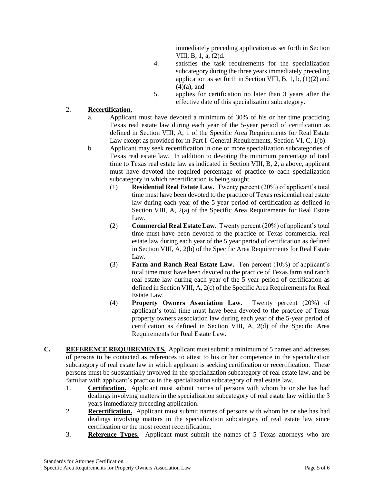immediately preceding application as set forth in Section VIII, B, 1, a, (2)d.

- 4. satisfies the task requirements for the specialization subcategory during the three years immediately preceding application as set forth in Section VIII, B, 1, b, (1)(2) and  $(4)(a)$ , and
- 5. applies for certification no later than 3 years after the effective date of this specialization subcategory.

#### 2. **Recertification.**

- a. Applicant must have devoted a minimum of 30% of his or her time practicing Texas real estate law during each year of the 5-year period of certification as defined in Section VIII, A, 1 of the Specific Area Requirements for Real Estate Law except as provided for in Part I–General Requirements, Section VI, C, 1(b).
- b. Applicant may seek recertification in one or more specialization subcategories of Texas real estate law. In addition to devoting the minimum percentage of total time to Texas real estate law as indicated in Section VIII, B, 2, a above, applicant must have devoted the required percentage of practice to each specialization subcategory in which recertification is being sought.
	- (1) **Residential Real Estate Law.** Twenty percent (20%) of applicant's total time must have been devoted to the practice of Texas residential real estate law during each year of the 5 year period of certification as defined in Section VIII, A, 2(a) of the Specific Area Requirements for Real Estate Law.
	- (2) **Commercial Real Estate Law.** Twenty percent (20%) of applicant's total time must have been devoted to the practice of Texas commercial real estate law during each year of the 5 year period of certification as defined in Section VIII, A, 2(b) of the Specific Area Requirements for Real Estate Law.
	- (3) **Farm and Ranch Real Estate Law.** Ten percent (10%) of applicant's total time must have been devoted to the practice of Texas farm and ranch real estate law during each year of the 5 year period of certification as defined in Section VIII, A, 2(c) of the Specific Area Requirements for Real Estate Law.
	- (4) **Property Owners Association Law.** Twenty percent (20%) of applicant's total time must have been devoted to the practice of Texas property owners association law during each year of the 5-year period of certification as defined in Section VIII, A, 2(d) of the Specific Area Requirements for Real Estate Law.
- **C. REFERENCE REQUIREMENTS.** Applicant must submit a minimum of 5 names and addresses of persons to be contacted as references to attest to his or her competence in the specialization subcategory of real estate law in which applicant is seeking certification or recertification.These persons must be substantially involved in the specialization subcategory of real estate law, and be familiar with applicant's practice in the specialization subcategory of real estate law.
	- 1. **Certification.** Applicant must submit names of persons with whom he or she has had dealings involving matters in the specialization subcategory of real estate law within the 3 years immediately preceding application.
	- 2. **Recertification.** Applicant must submit names of persons with whom he or she has had dealings involving matters in the specialization subcategory of real estate law since certification or the most recent recertification.
	- 3. **Reference Types.** Applicant must submit the names of 5 Texas attorneys who are